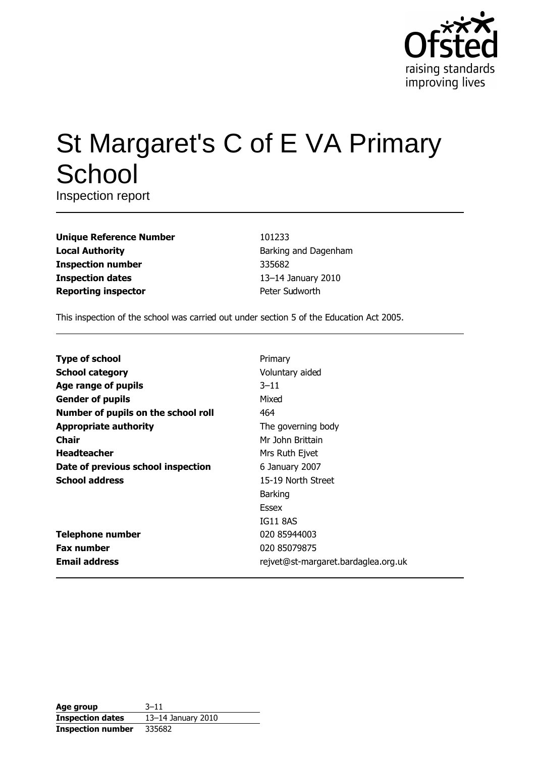

# St Margaret's C of E VA Primary School

Inspection report

| <b>Unique Reference Number</b> |
|--------------------------------|
| <b>Local Authority</b>         |
| <b>Inspection number</b>       |
| <b>Inspection dates</b>        |
| <b>Reporting inspector</b>     |

101233 Barking and Dagenham 335682 13-14 January 2010 Peter Sudworth

This inspection of the school was carried out under section 5 of the Education Act 2005.

| <b>Type of school</b>               | Primary                             |
|-------------------------------------|-------------------------------------|
| <b>School category</b>              | Voluntary aided                     |
| Age range of pupils                 | $3 - 11$                            |
| <b>Gender of pupils</b>             | Mixed                               |
| Number of pupils on the school roll | 464                                 |
| <b>Appropriate authority</b>        | The governing body                  |
| <b>Chair</b>                        | Mr John Brittain                    |
| <b>Headteacher</b>                  | Mrs Ruth Ejvet                      |
| Date of previous school inspection  | 6 January 2007                      |
| <b>School address</b>               | 15-19 North Street                  |
|                                     | <b>Barking</b>                      |
|                                     | Essex                               |
|                                     | <b>IG11 8AS</b>                     |
| <b>Telephone number</b>             | 020 85944003                        |
| <b>Fax number</b>                   | 020 85079875                        |
| <b>Email address</b>                | rejvet@st-margaret.bardaglea.org.uk |

| Age group                | $3 - 11$           |
|--------------------------|--------------------|
| <b>Inspection dates</b>  | 13-14 January 2010 |
| <b>Inspection number</b> | 335682             |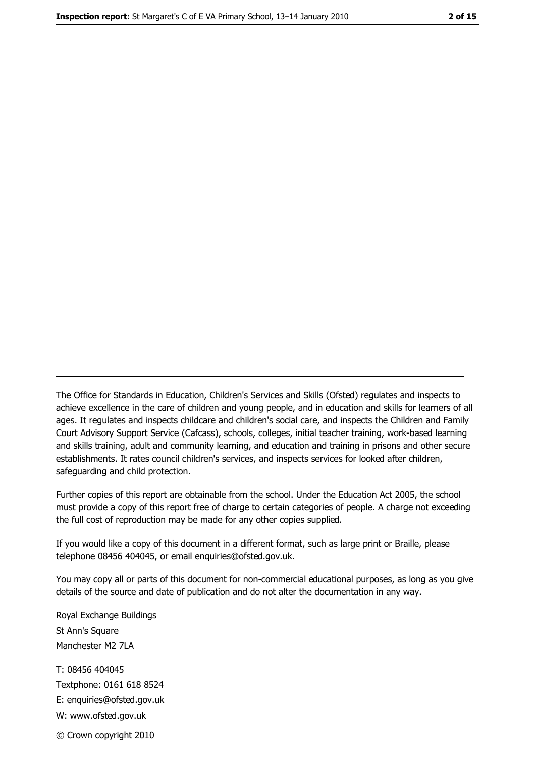The Office for Standards in Education, Children's Services and Skills (Ofsted) regulates and inspects to achieve excellence in the care of children and young people, and in education and skills for learners of all ages. It regulates and inspects childcare and children's social care, and inspects the Children and Family Court Advisory Support Service (Cafcass), schools, colleges, initial teacher training, work-based learning and skills training, adult and community learning, and education and training in prisons and other secure establishments. It rates council children's services, and inspects services for looked after children, safequarding and child protection.

Further copies of this report are obtainable from the school. Under the Education Act 2005, the school must provide a copy of this report free of charge to certain categories of people. A charge not exceeding the full cost of reproduction may be made for any other copies supplied.

If you would like a copy of this document in a different format, such as large print or Braille, please telephone 08456 404045, or email enquiries@ofsted.gov.uk.

You may copy all or parts of this document for non-commercial educational purposes, as long as you give details of the source and date of publication and do not alter the documentation in any way.

Royal Exchange Buildings St Ann's Square Manchester M2 7LA T: 08456 404045 Textphone: 0161 618 8524 E: enquiries@ofsted.gov.uk W: www.ofsted.gov.uk © Crown copyright 2010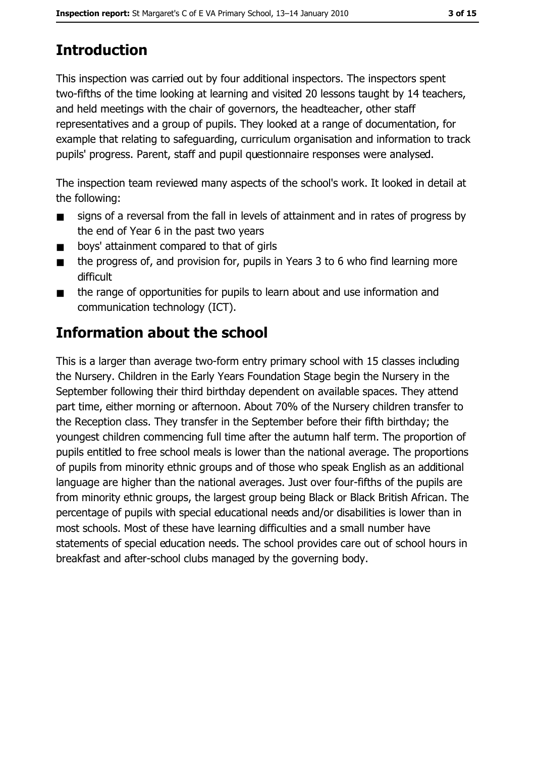# **Introduction**

This inspection was carried out by four additional inspectors. The inspectors spent two-fifths of the time looking at learning and visited 20 lessons taught by 14 teachers, and held meetings with the chair of governors, the headteacher, other staff representatives and a group of pupils. They looked at a range of documentation, for example that relating to safeguarding, curriculum organisation and information to track pupils' progress. Parent, staff and pupil questionnaire responses were analysed.

The inspection team reviewed many aspects of the school's work. It looked in detail at the following:

- signs of a reversal from the fall in levels of attainment and in rates of progress by  $\blacksquare$ the end of Year 6 in the past two years
- boys' attainment compared to that of girls  $\blacksquare$
- the progress of, and provision for, pupils in Years 3 to 6 who find learning more  $\blacksquare$ difficult
- the range of opportunities for pupils to learn about and use information and  $\blacksquare$ communication technology (ICT).

# **Information about the school**

This is a larger than average two-form entry primary school with 15 classes including the Nursery. Children in the Early Years Foundation Stage begin the Nursery in the September following their third birthday dependent on available spaces. They attend part time, either morning or afternoon. About 70% of the Nursery children transfer to the Reception class. They transfer in the September before their fifth birthday; the youngest children commencing full time after the autumn half term. The proportion of pupils entitled to free school meals is lower than the national average. The proportions of pupils from minority ethnic groups and of those who speak English as an additional language are higher than the national averages. Just over four-fifths of the pupils are from minority ethnic groups, the largest group being Black or Black British African. The percentage of pupils with special educational needs and/or disabilities is lower than in most schools. Most of these have learning difficulties and a small number have statements of special education needs. The school provides care out of school hours in breakfast and after-school clubs managed by the governing body.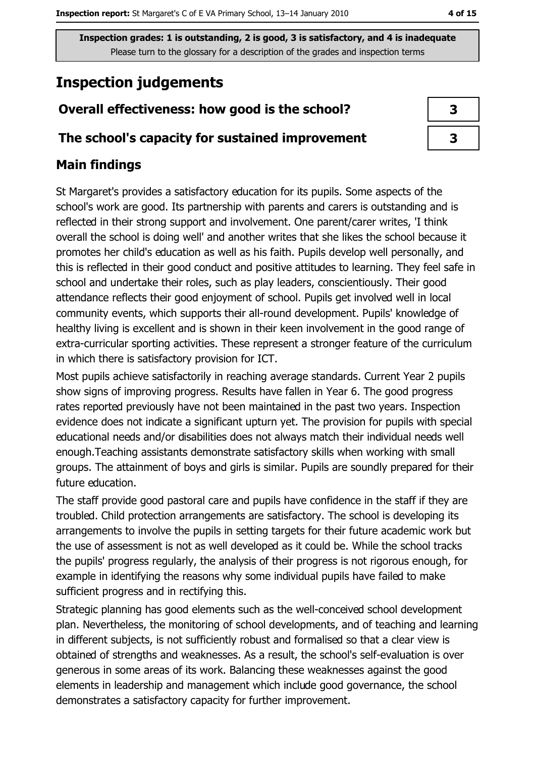# **Inspection judgements**

### Overall effectiveness: how good is the school?

#### The school's capacity for sustained improvement

# **Main findings**

St Margaret's provides a satisfactory education for its pupils. Some aspects of the school's work are good. Its partnership with parents and carers is outstanding and is reflected in their strong support and involvement. One parent/carer writes, 'I think overall the school is doing well' and another writes that she likes the school because it promotes her child's education as well as his faith. Pupils develop well personally, and this is reflected in their good conduct and positive attitudes to learning. They feel safe in school and undertake their roles, such as play leaders, conscientiously. Their good attendance reflects their good enjoyment of school. Pupils get involved well in local community events, which supports their all-round development. Pupils' knowledge of healthy living is excellent and is shown in their keen involvement in the good range of extra-curricular sporting activities. These represent a stronger feature of the curriculum in which there is satisfactory provision for ICT.

Most pupils achieve satisfactorily in reaching average standards. Current Year 2 pupils show signs of improving progress. Results have fallen in Year 6. The good progress rates reported previously have not been maintained in the past two years. Inspection evidence does not indicate a significant upturn yet. The provision for pupils with special educational needs and/or disabilities does not always match their individual needs well enough. Teaching assistants demonstrate satisfactory skills when working with small groups. The attainment of boys and girls is similar. Pupils are soundly prepared for their future education.

The staff provide good pastoral care and pupils have confidence in the staff if they are troubled. Child protection arrangements are satisfactory. The school is developing its arrangements to involve the pupils in setting targets for their future academic work but the use of assessment is not as well developed as it could be. While the school tracks the pupils' progress regularly, the analysis of their progress is not rigorous enough, for example in identifying the reasons why some individual pupils have failed to make sufficient progress and in rectifying this.

Strategic planning has good elements such as the well-conceived school development plan. Nevertheless, the monitoring of school developments, and of teaching and learning in different subjects, is not sufficiently robust and formalised so that a clear view is obtained of strengths and weaknesses. As a result, the school's self-evaluation is over generous in some areas of its work. Balancing these weaknesses against the good elements in leadership and management which include good governance, the school demonstrates a satisfactory capacity for further improvement.

| 3 |  |
|---|--|
| 3 |  |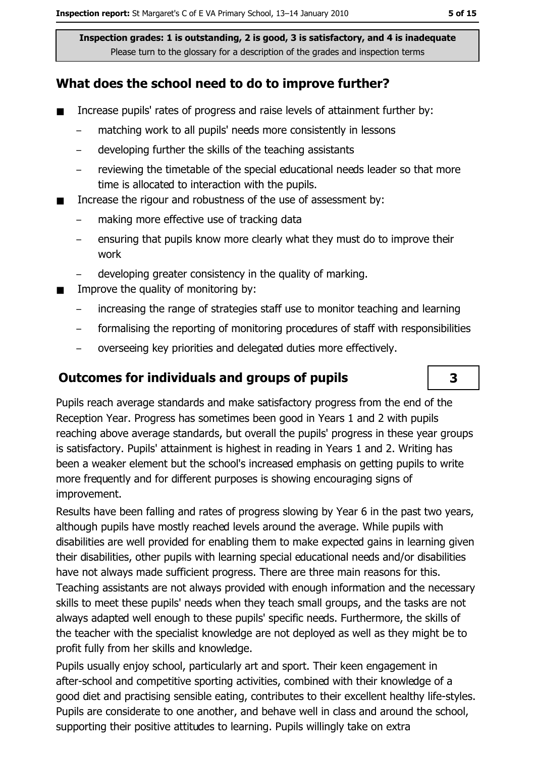# What does the school need to do to improve further?

- $\blacksquare$ Increase pupils' rates of progress and raise levels of attainment further by:
	- matching work to all pupils' needs more consistently in lessons  $\equiv$
	- developing further the skills of the teaching assistants
	- reviewing the timetable of the special educational needs leader so that more time is allocated to interaction with the pupils.
- Increase the rigour and robustness of the use of assessment by:  $\blacksquare$ 
	- making more effective use of tracking data  $\equiv$
	- ensuring that pupils know more clearly what they must do to improve their  $\equiv$ work
	- developing greater consistency in the quality of marking.
- Improve the quality of monitoring by:
	- increasing the range of strategies staff use to monitor teaching and learning  $\equiv$
	- formalising the reporting of monitoring procedures of staff with responsibilities  $\equiv$
	- overseeing key priorities and delegated duties more effectively.  $\overline{\phantom{0}}$

### **Outcomes for individuals and groups of pupils**

Pupils reach average standards and make satisfactory progress from the end of the Reception Year. Progress has sometimes been good in Years 1 and 2 with pupils reaching above average standards, but overall the pupils' progress in these year groups is satisfactory. Pupils' attainment is highest in reading in Years 1 and 2. Writing has been a weaker element but the school's increased emphasis on getting pupils to write more frequently and for different purposes is showing encouraging signs of improvement.

Results have been falling and rates of progress slowing by Year 6 in the past two years, although pupils have mostly reached levels around the average. While pupils with disabilities are well provided for enabling them to make expected gains in learning given their disabilities, other pupils with learning special educational needs and/or disabilities have not always made sufficient progress. There are three main reasons for this. Teaching assistants are not always provided with enough information and the necessary skills to meet these pupils' needs when they teach small groups, and the tasks are not always adapted well enough to these pupils' specific needs. Furthermore, the skills of the teacher with the specialist knowledge are not deployed as well as they might be to profit fully from her skills and knowledge.

Pupils usually enjoy school, particularly art and sport. Their keen engagement in after-school and competitive sporting activities, combined with their knowledge of a good diet and practising sensible eating, contributes to their excellent healthy life-styles. Pupils are considerate to one another, and behave well in class and around the school, supporting their positive attitudes to learning. Pupils willingly take on extra

3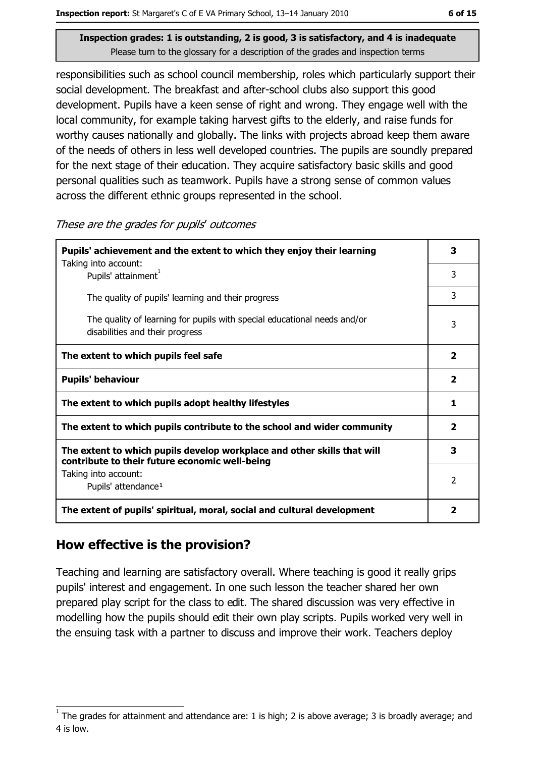responsibilities such as school council membership, roles which particularly support their social development. The breakfast and after-school clubs also support this good development. Pupils have a keen sense of right and wrong. They engage well with the local community, for example taking harvest gifts to the elderly, and raise funds for worthy causes nationally and globally. The links with projects abroad keep them aware of the needs of others in less well developed countries. The pupils are soundly prepared for the next stage of their education. They acquire satisfactory basic skills and good personal qualities such as teamwork. Pupils have a strong sense of common values across the different ethnic groups represented in the school.

| These are the grades for pupils' outcomes |  |  |  |
|-------------------------------------------|--|--|--|
|-------------------------------------------|--|--|--|

| Pupils' achievement and the extent to which they enjoy their learning                                                     |                         |  |  |
|---------------------------------------------------------------------------------------------------------------------------|-------------------------|--|--|
| Taking into account:<br>Pupils' attainment <sup>1</sup>                                                                   | 3                       |  |  |
| The quality of pupils' learning and their progress                                                                        | 3                       |  |  |
| The quality of learning for pupils with special educational needs and/or<br>disabilities and their progress               | 3                       |  |  |
| The extent to which pupils feel safe                                                                                      | $\overline{\mathbf{2}}$ |  |  |
| <b>Pupils' behaviour</b>                                                                                                  | $\overline{2}$          |  |  |
| The extent to which pupils adopt healthy lifestyles                                                                       | 1                       |  |  |
| The extent to which pupils contribute to the school and wider community                                                   | $\overline{\mathbf{2}}$ |  |  |
| The extent to which pupils develop workplace and other skills that will<br>contribute to their future economic well-being | 3                       |  |  |
| Taking into account:<br>Pupils' attendance <sup>1</sup>                                                                   | $\mathcal{P}$           |  |  |
| The extent of pupils' spiritual, moral, social and cultural development                                                   | $\overline{\mathbf{2}}$ |  |  |

# How effective is the provision?

Teaching and learning are satisfactory overall. Where teaching is good it really grips pupils' interest and engagement. In one such lesson the teacher shared her own prepared play script for the class to edit. The shared discussion was very effective in modelling how the pupils should edit their own play scripts. Pupils worked very well in the ensuing task with a partner to discuss and improve their work. Teachers deploy

The grades for attainment and attendance are: 1 is high; 2 is above average; 3 is broadly average; and 4 is low.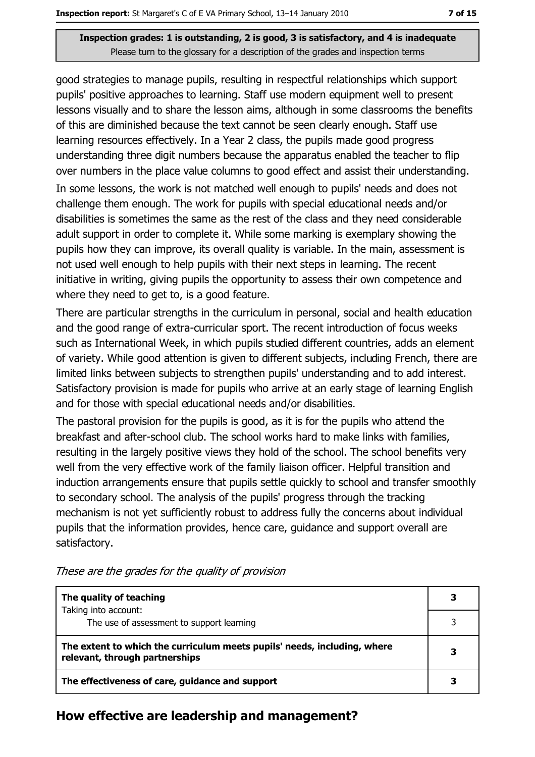good strategies to manage pupils, resulting in respectful relationships which support pupils' positive approaches to learning. Staff use modern equipment well to present lessons visually and to share the lesson aims, although in some classrooms the benefits of this are diminished because the text cannot be seen clearly enough. Staff use learning resources effectively. In a Year 2 class, the pupils made good progress understanding three digit numbers because the apparatus enabled the teacher to flip over numbers in the place value columns to good effect and assist their understanding.

In some lessons, the work is not matched well enough to pupils' needs and does not challenge them enough. The work for pupils with special educational needs and/or disabilities is sometimes the same as the rest of the class and they need considerable adult support in order to complete it. While some marking is exemplary showing the pupils how they can improve, its overall quality is variable. In the main, assessment is not used well enough to help pupils with their next steps in learning. The recent initiative in writing, giving pupils the opportunity to assess their own competence and where they need to get to, is a good feature.

There are particular strengths in the curriculum in personal, social and health education and the good range of extra-curricular sport. The recent introduction of focus weeks such as International Week, in which pupils studied different countries, adds an element of variety. While good attention is given to different subjects, including French, there are limited links between subjects to strengthen pupils' understanding and to add interest. Satisfactory provision is made for pupils who arrive at an early stage of learning English and for those with special educational needs and/or disabilities.

The pastoral provision for the pupils is good, as it is for the pupils who attend the breakfast and after-school club. The school works hard to make links with families, resulting in the largely positive views they hold of the school. The school benefits very well from the very effective work of the family liaison officer. Helpful transition and induction arrangements ensure that pupils settle quickly to school and transfer smoothly to secondary school. The analysis of the pupils' progress through the tracking mechanism is not yet sufficiently robust to address fully the concerns about individual pupils that the information provides, hence care, guidance and support overall are satisfactory.

| The quality of teaching                                                                                    |  |
|------------------------------------------------------------------------------------------------------------|--|
| Taking into account:<br>The use of assessment to support learning                                          |  |
| The extent to which the curriculum meets pupils' needs, including, where<br>relevant, through partnerships |  |
| The effectiveness of care, guidance and support                                                            |  |

These are the grades for the quality of provision

### How effective are leadership and management?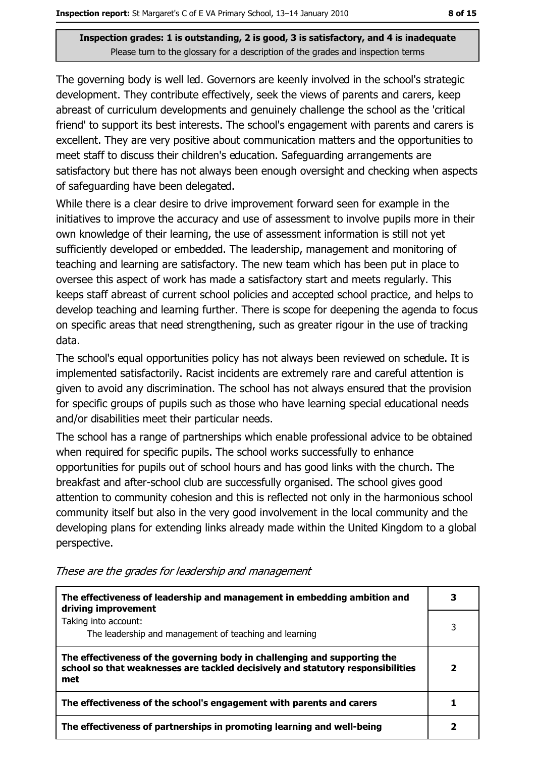The governing body is well led. Governors are keenly involved in the school's strategic development. They contribute effectively, seek the views of parents and carers, keep abreast of curriculum developments and genuinely challenge the school as the 'critical friend' to support its best interests. The school's engagement with parents and carers is excellent. They are very positive about communication matters and the opportunities to meet staff to discuss their children's education. Safeguarding arrangements are satisfactory but there has not always been enough oversight and checking when aspects of safeguarding have been delegated.

While there is a clear desire to drive improvement forward seen for example in the initiatives to improve the accuracy and use of assessment to involve pupils more in their own knowledge of their learning, the use of assessment information is still not yet sufficiently developed or embedded. The leadership, management and monitoring of teaching and learning are satisfactory. The new team which has been put in place to oversee this aspect of work has made a satisfactory start and meets regularly. This keeps staff abreast of current school policies and accepted school practice, and helps to develop teaching and learning further. There is scope for deepening the agenda to focus on specific areas that need strengthening, such as greater rigour in the use of tracking data.

The school's equal opportunities policy has not always been reviewed on schedule. It is implemented satisfactorily. Racist incidents are extremely rare and careful attention is given to avoid any discrimination. The school has not always ensured that the provision for specific groups of pupils such as those who have learning special educational needs and/or disabilities meet their particular needs.

The school has a range of partnerships which enable professional advice to be obtained when required for specific pupils. The school works successfully to enhance opportunities for pupils out of school hours and has good links with the church. The breakfast and after-school club are successfully organised. The school gives good attention to community cohesion and this is reflected not only in the harmonious school community itself but also in the very good involvement in the local community and the developing plans for extending links already made within the United Kingdom to a global perspective.

| The effectiveness of leadership and management in embedding ambition and<br>driving improvement                                                                     |  |  |
|---------------------------------------------------------------------------------------------------------------------------------------------------------------------|--|--|
| Taking into account:<br>The leadership and management of teaching and learning                                                                                      |  |  |
| The effectiveness of the governing body in challenging and supporting the<br>school so that weaknesses are tackled decisively and statutory responsibilities<br>met |  |  |
| The effectiveness of the school's engagement with parents and carers                                                                                                |  |  |
| The effectiveness of partnerships in promoting learning and well-being                                                                                              |  |  |

These are the grades for leadership and management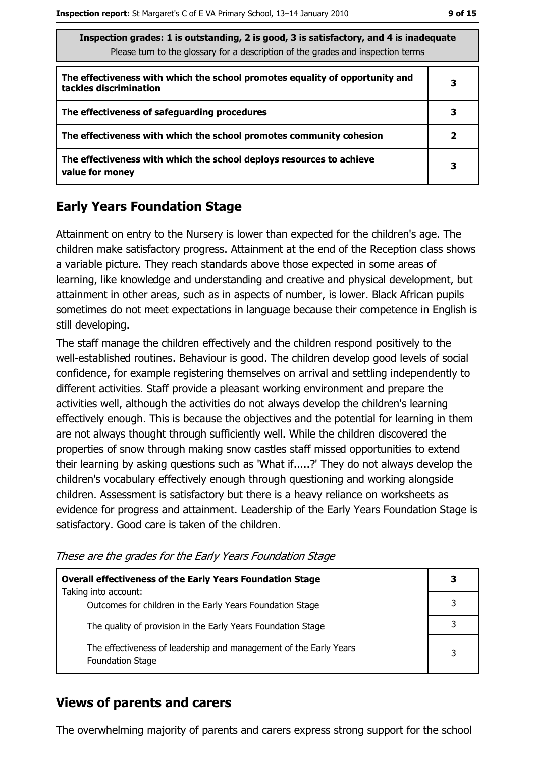| Inspection grades: 1 is outstanding, 2 is good, 3 is satisfactory, and 4 is inadequate |
|----------------------------------------------------------------------------------------|
| Please turn to the glossary for a description of the grades and inspection terms       |

| The effectiveness with which the school promotes equality of opportunity and<br>tackles discrimination | З |
|--------------------------------------------------------------------------------------------------------|---|
| The effectiveness of safeguarding procedures                                                           |   |
| The effectiveness with which the school promotes community cohesion                                    | 2 |
| The effectiveness with which the school deploys resources to achieve<br>value for money                | З |

# **Early Years Foundation Stage**

Attainment on entry to the Nursery is lower than expected for the children's age. The children make satisfactory progress. Attainment at the end of the Reception class shows a variable picture. They reach standards above those expected in some areas of learning, like knowledge and understanding and creative and physical development, but attainment in other areas, such as in aspects of number, is lower. Black African pupils sometimes do not meet expectations in language because their competence in English is still developing.

The staff manage the children effectively and the children respond positively to the well-established routines. Behaviour is good. The children develop good levels of social confidence, for example registering themselves on arrival and settling independently to different activities. Staff provide a pleasant working environment and prepare the activities well, although the activities do not always develop the children's learning effectively enough. This is because the objectives and the potential for learning in them are not always thought through sufficiently well. While the children discovered the properties of snow through making snow castles staff missed opportunities to extend their learning by asking questions such as 'What if.....?' They do not always develop the children's vocabulary effectively enough through questioning and working alongside children. Assessment is satisfactory but there is a heavy reliance on worksheets as evidence for progress and attainment. Leadership of the Early Years Foundation Stage is satisfactory. Good care is taken of the children.

| <b>Overall effectiveness of the Early Years Foundation Stage</b>                             | 3 |
|----------------------------------------------------------------------------------------------|---|
| Taking into account:                                                                         |   |
| Outcomes for children in the Early Years Foundation Stage                                    |   |
| The quality of provision in the Early Years Foundation Stage                                 |   |
|                                                                                              |   |
| The effectiveness of leadership and management of the Early Years<br><b>Foundation Stage</b> | 3 |

These are the grades for the Early Years Foundation Stage

### **Views of parents and carers**

The overwhelming majority of parents and carers express strong support for the school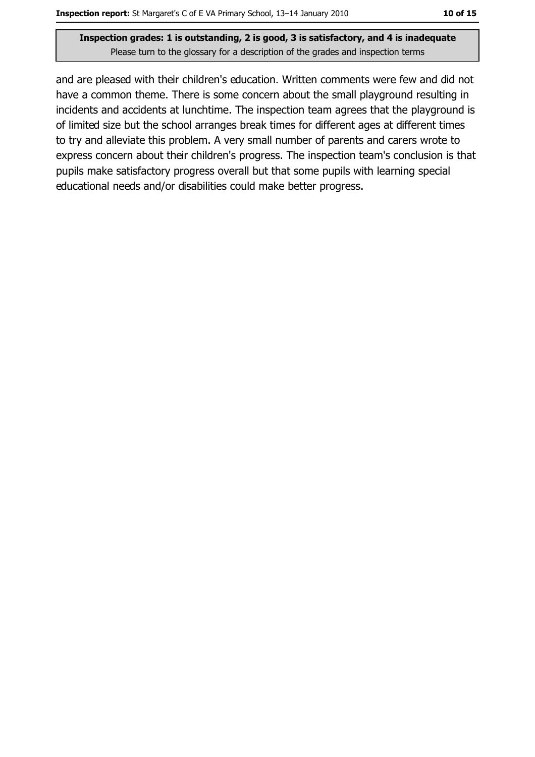and are pleased with their children's education. Written comments were few and did not have a common theme. There is some concern about the small playground resulting in incidents and accidents at lunchtime. The inspection team agrees that the playground is of limited size but the school arranges break times for different ages at different times to try and alleviate this problem. A very small number of parents and carers wrote to express concern about their children's progress. The inspection team's conclusion is that pupils make satisfactory progress overall but that some pupils with learning special educational needs and/or disabilities could make better progress.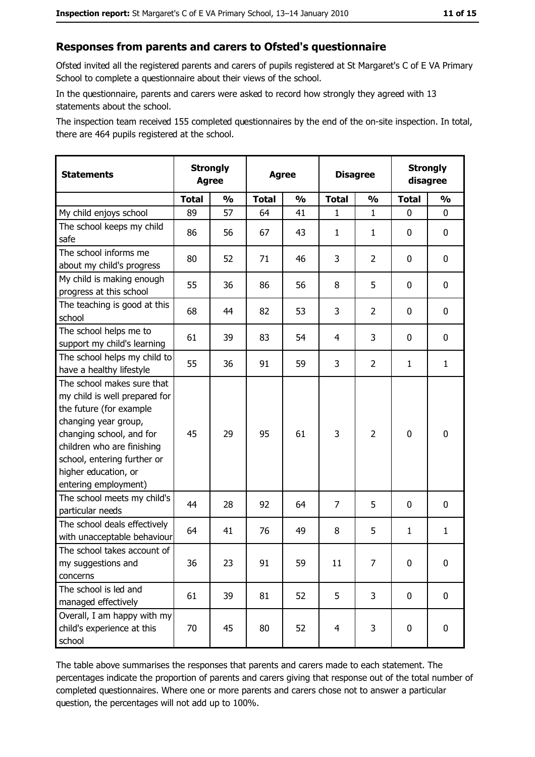#### Responses from parents and carers to Ofsted's questionnaire

Ofsted invited all the registered parents and carers of pupils registered at St Margaret's C of E VA Primary School to complete a questionnaire about their views of the school.

In the questionnaire, parents and carers were asked to record how strongly they agreed with 13 statements about the school.

The inspection team received 155 completed questionnaires by the end of the on-site inspection. In total, there are 464 pupils registered at the school.

| <b>Statements</b>                                                                                                                                                                                                                                       | <b>Strongly</b><br><b>Agree</b> |               | <b>Agree</b> |               |                | <b>Disagree</b> |              | <b>Strongly</b><br>disagree |
|---------------------------------------------------------------------------------------------------------------------------------------------------------------------------------------------------------------------------------------------------------|---------------------------------|---------------|--------------|---------------|----------------|-----------------|--------------|-----------------------------|
|                                                                                                                                                                                                                                                         | <b>Total</b>                    | $\frac{1}{2}$ | <b>Total</b> | $\frac{0}{0}$ | <b>Total</b>   | $\frac{1}{2}$   | <b>Total</b> | $\frac{1}{2}$               |
| My child enjoys school                                                                                                                                                                                                                                  | 89                              | 57            | 64           | 41            | 1              | $\mathbf 1$     | $\Omega$     | 0                           |
| The school keeps my child<br>safe                                                                                                                                                                                                                       | 86                              | 56            | 67           | 43            | $\mathbf{1}$   | 1               | $\mathbf{0}$ | 0                           |
| The school informs me<br>about my child's progress                                                                                                                                                                                                      | 80                              | 52            | 71           | 46            | 3              | $\overline{2}$  | $\mathbf{0}$ | 0                           |
| My child is making enough<br>progress at this school                                                                                                                                                                                                    | 55                              | 36            | 86           | 56            | 8              | 5               | 0            | 0                           |
| The teaching is good at this<br>school                                                                                                                                                                                                                  | 68                              | 44            | 82           | 53            | 3              | $\overline{2}$  | 0            | 0                           |
| The school helps me to<br>support my child's learning                                                                                                                                                                                                   | 61                              | 39            | 83           | 54            | 4              | 3               | 0            | 0                           |
| The school helps my child to<br>have a healthy lifestyle                                                                                                                                                                                                | 55                              | 36            | 91           | 59            | 3              | $\overline{2}$  | 1            | $\mathbf{1}$                |
| The school makes sure that<br>my child is well prepared for<br>the future (for example<br>changing year group,<br>changing school, and for<br>children who are finishing<br>school, entering further or<br>higher education, or<br>entering employment) | 45                              | 29            | 95           | 61            | 3              | $\overline{2}$  | 0            | 0                           |
| The school meets my child's<br>particular needs                                                                                                                                                                                                         | 44                              | 28            | 92           | 64            | $\overline{7}$ | 5               | 0            | 0                           |
| The school deals effectively<br>with unacceptable behaviour                                                                                                                                                                                             | 64                              | 41            | 76           | 49            | 8              | 5               | $\mathbf{1}$ | $\mathbf{1}$                |
| The school takes account of<br>my suggestions and<br>concerns                                                                                                                                                                                           | 36                              | 23            | 91           | 59            | 11             | 7               | 0            | 0                           |
| The school is led and<br>managed effectively                                                                                                                                                                                                            | 61                              | 39            | 81           | 52            | 5              | 3               | 0            | $\mathbf 0$                 |
| Overall, I am happy with my<br>child's experience at this<br>school                                                                                                                                                                                     | 70                              | 45            | 80           | 52            | $\overline{4}$ | 3               | $\mathbf 0$  | 0                           |

The table above summarises the responses that parents and carers made to each statement. The percentages indicate the proportion of parents and carers giving that response out of the total number of completed questionnaires. Where one or more parents and carers chose not to answer a particular question, the percentages will not add up to 100%.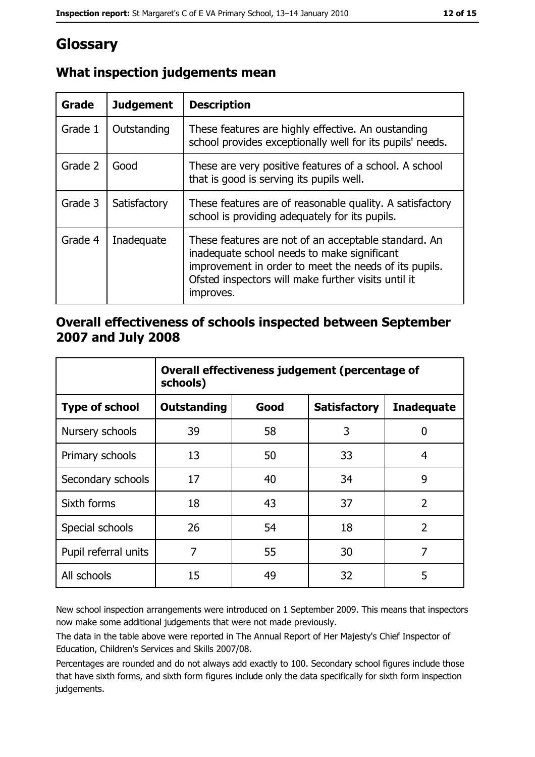# Glossary

| Grade   | <b>Judgement</b> | <b>Description</b>                                                                                                                                                                                                               |  |
|---------|------------------|----------------------------------------------------------------------------------------------------------------------------------------------------------------------------------------------------------------------------------|--|
| Grade 1 | Outstanding      | These features are highly effective. An oustanding<br>school provides exceptionally well for its pupils' needs.                                                                                                                  |  |
| Grade 2 | Good             | These are very positive features of a school. A school<br>that is good is serving its pupils well.                                                                                                                               |  |
| Grade 3 | Satisfactory     | These features are of reasonable quality. A satisfactory<br>school is providing adequately for its pupils.                                                                                                                       |  |
| Grade 4 | Inadequate       | These features are not of an acceptable standard. An<br>inadequate school needs to make significant<br>improvement in order to meet the needs of its pupils.<br>Ofsted inspectors will make further visits until it<br>improves. |  |

# What inspection judgements mean

### Overall effectiveness of schools inspected between September 2007 and July 2008

|                       | Overall effectiveness judgement (percentage of<br>schools) |      |                     |                   |  |  |
|-----------------------|------------------------------------------------------------|------|---------------------|-------------------|--|--|
| <b>Type of school</b> | Outstanding                                                | Good | <b>Satisfactory</b> | <b>Inadequate</b> |  |  |
| Nursery schools       | 39                                                         | 58   | 3                   | 0                 |  |  |
| Primary schools       | 13                                                         | 50   | 33                  | 4                 |  |  |
| Secondary schools     | 17                                                         | 40   | 34                  | 9                 |  |  |
| Sixth forms           | 18                                                         | 43   | 37                  | $\overline{2}$    |  |  |
| Special schools       | 26                                                         | 54   | 18                  | $\overline{2}$    |  |  |
| Pupil referral units  | 7                                                          | 55   | 30                  | 7                 |  |  |
| All schools           | 15                                                         | 49   | 32                  | 5                 |  |  |

New school inspection arrangements were introduced on 1 September 2009. This means that inspectors now make some additional judgements that were not made previously.

The data in the table above were reported in The Annual Report of Her Majesty's Chief Inspector of Education, Children's Services and Skills 2007/08.

Percentages are rounded and do not always add exactly to 100. Secondary school figures include those that have sixth forms, and sixth form figures include only the data specifically for sixth form inspection judgements.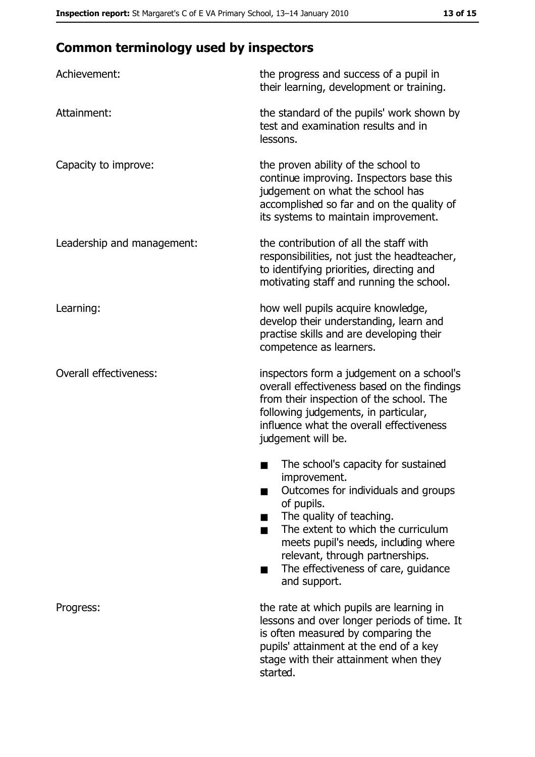# **Common terminology used by inspectors**

| Achievement:                  | the progress and success of a pupil in<br>their learning, development or training.                                                                                                                                                                                                                           |  |  |
|-------------------------------|--------------------------------------------------------------------------------------------------------------------------------------------------------------------------------------------------------------------------------------------------------------------------------------------------------------|--|--|
| Attainment:                   | the standard of the pupils' work shown by<br>test and examination results and in<br>lessons.                                                                                                                                                                                                                 |  |  |
| Capacity to improve:          | the proven ability of the school to<br>continue improving. Inspectors base this<br>judgement on what the school has<br>accomplished so far and on the quality of<br>its systems to maintain improvement.                                                                                                     |  |  |
| Leadership and management:    | the contribution of all the staff with<br>responsibilities, not just the headteacher,<br>to identifying priorities, directing and<br>motivating staff and running the school.                                                                                                                                |  |  |
| Learning:                     | how well pupils acquire knowledge,<br>develop their understanding, learn and<br>practise skills and are developing their<br>competence as learners.                                                                                                                                                          |  |  |
| <b>Overall effectiveness:</b> | inspectors form a judgement on a school's<br>overall effectiveness based on the findings<br>from their inspection of the school. The<br>following judgements, in particular,<br>influence what the overall effectiveness<br>judgement will be.                                                               |  |  |
|                               | The school's capacity for sustained<br>improvement.<br>Outcomes for individuals and groups<br>of pupils.<br>The quality of teaching.<br>The extent to which the curriculum<br>meets pupil's needs, including where<br>relevant, through partnerships.<br>The effectiveness of care, guidance<br>and support. |  |  |
| Progress:                     | the rate at which pupils are learning in<br>lessons and over longer periods of time. It<br>is often measured by comparing the<br>pupils' attainment at the end of a key<br>stage with their attainment when they<br>started.                                                                                 |  |  |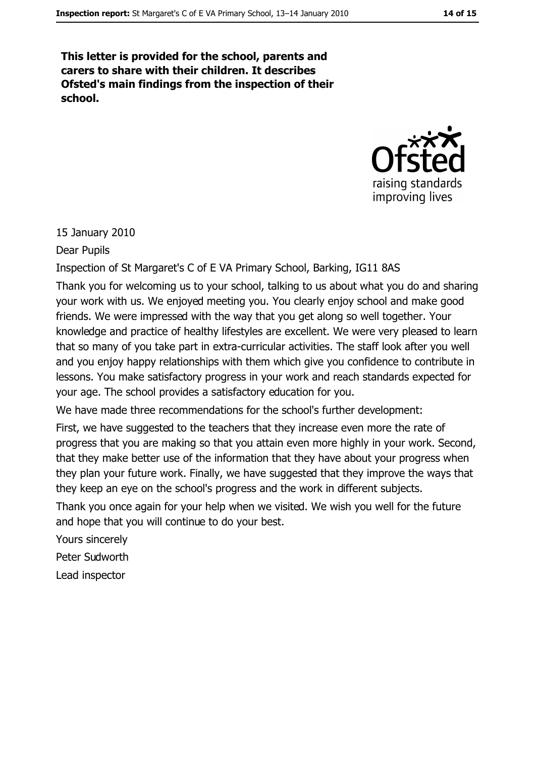This letter is provided for the school, parents and carers to share with their children. It describes Ofsted's main findings from the inspection of their school.



15 January 2010

Dear Pupils

Inspection of St Margaret's C of E VA Primary School, Barking, IG11 8AS

Thank you for welcoming us to your school, talking to us about what you do and sharing your work with us. We enjoyed meeting you. You clearly enjoy school and make good friends. We were impressed with the way that you get along so well together. Your knowledge and practice of healthy lifestyles are excellent. We were very pleased to learn that so many of you take part in extra-curricular activities. The staff look after you well and you enjoy happy relationships with them which give you confidence to contribute in lessons. You make satisfactory progress in your work and reach standards expected for your age. The school provides a satisfactory education for you.

We have made three recommendations for the school's further development:

First, we have suggested to the teachers that they increase even more the rate of progress that you are making so that you attain even more highly in your work. Second, that they make better use of the information that they have about your progress when they plan your future work. Finally, we have suggested that they improve the ways that they keep an eye on the school's progress and the work in different subjects.

Thank you once again for your help when we visited. We wish you well for the future and hope that you will continue to do your best.

Yours sincerely Peter Sudworth

Lead inspector